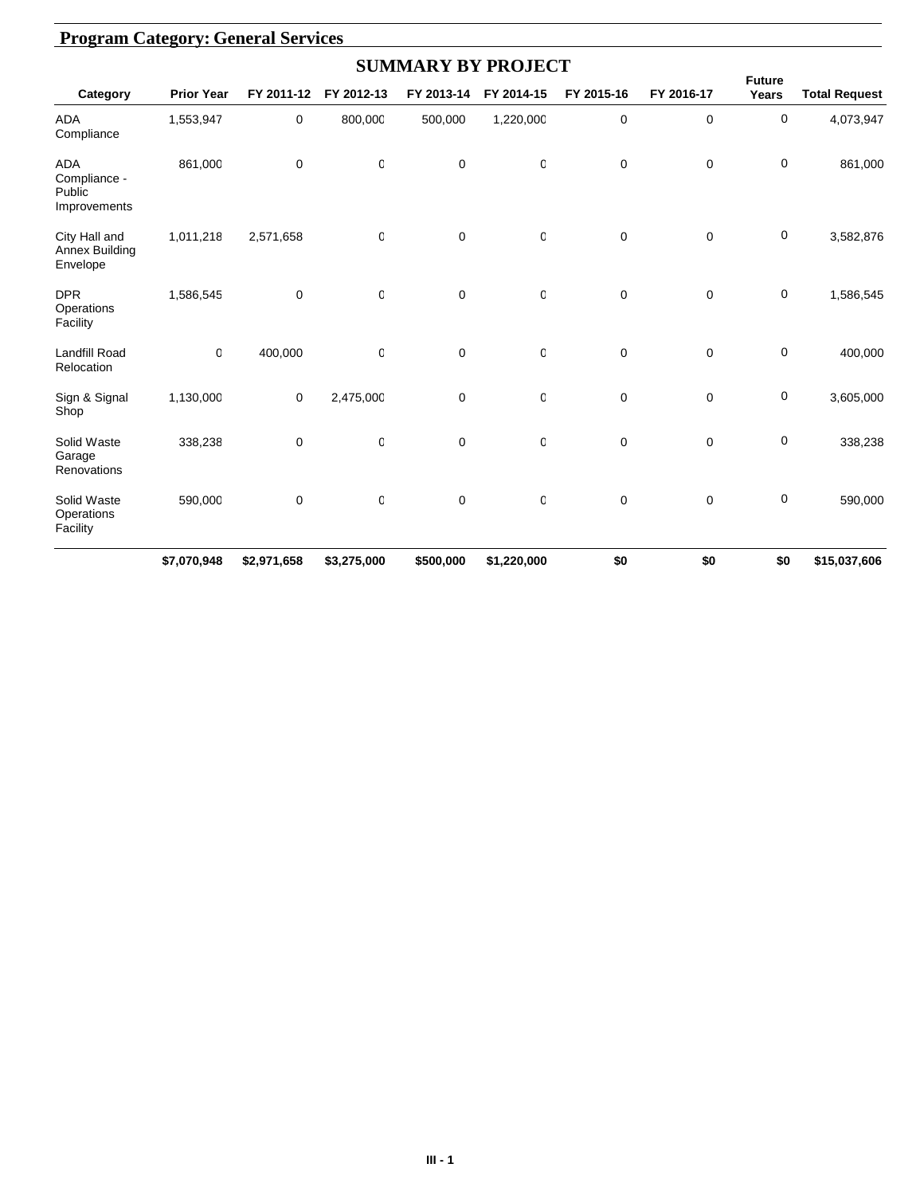|                                                      |                   |             |             | <b>SUMMARY BY PROJECT</b> |             |             |             |                        |                      |
|------------------------------------------------------|-------------------|-------------|-------------|---------------------------|-------------|-------------|-------------|------------------------|----------------------|
| Category                                             | <b>Prior Year</b> | FY 2011-12  | FY 2012-13  | FY 2013-14                | FY 2014-15  | FY 2015-16  | FY 2016-17  | <b>Future</b><br>Years | <b>Total Request</b> |
| <b>ADA</b><br>Compliance                             | 1,553,947         | 0           | 800,000     | 500,000                   | 1,220,000   | 0           | 0           | 0                      | 4,073,947            |
| <b>ADA</b><br>Compliance -<br>Public<br>Improvements | 861,000           | 0           | 0           | $\mathbf 0$               | 0           | 0           | 0           | 0                      | 861,000              |
| City Hall and<br>Annex Building<br>Envelope          | 1,011,218         | 2,571,658   | 0           | $\mathbf 0$               | 0           | 0           | 0           | 0                      | 3,582,876            |
| <b>DPR</b><br>Operations<br>Facility                 | 1,586,545         | 0           | 0           | $\mathbf 0$               | $\mathbf 0$ | 0           | 0           | 0                      | 1,586,545            |
| <b>Landfill Road</b><br>Relocation                   | O                 | 400,000     | 0           | $\mathbf 0$               | $\mathbf 0$ | $\mathbf 0$ | $\mathbf 0$ | 0                      | 400,000              |
| Sign & Signal<br>Shop                                | 1,130,000         | 0           | 2,475,000   | $\mathbf 0$               | $\mathbf 0$ | $\mathbf 0$ | $\mathbf 0$ | 0                      | 3,605,000            |
| Solid Waste<br>Garage<br>Renovations                 | 338,238           | 0           | 0           | $\mathbf 0$               | $\mathbf 0$ | $\mathbf 0$ | $\mathbf 0$ | 0                      | 338,238              |
| Solid Waste<br>Operations<br>Facility                | 590,000           | $\mathbf 0$ | 0           | $\mathbf 0$               | 0           | $\mathbf 0$ | $\mathbf 0$ | 0                      | 590,000              |
|                                                      | \$7,070,948       | \$2,971,658 | \$3,275,000 | \$500,000                 | \$1,220,000 | \$0         | \$0         | \$0                    | \$15,037,606         |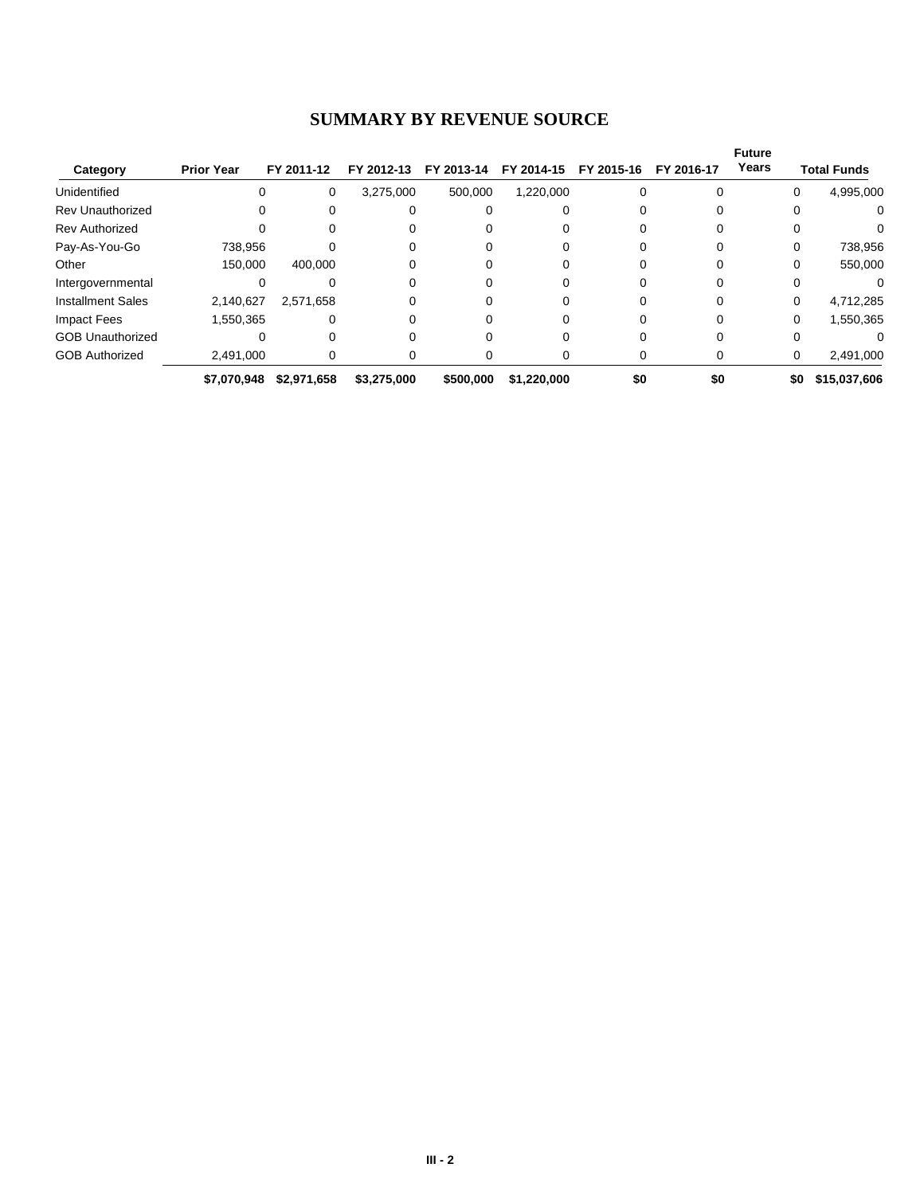#### **SUMMARY BY REVENUE SOURCE**

|                          |                   |             |             |            |             |            |            | <b>Future</b><br>Years |                     |
|--------------------------|-------------------|-------------|-------------|------------|-------------|------------|------------|------------------------|---------------------|
| Category                 | <b>Prior Year</b> | FY 2011-12  | FY 2012-13  | FY 2013-14 | FY 2014-15  | FY 2015-16 | FY 2016-17 |                        | <b>Total Funds</b>  |
| Unidentified             | $\Omega$          | 0           | 3,275,000   | 500,000    | 1,220,000   |            |            |                        | 4,995,000<br>0      |
| <b>Rev Unauthorized</b>  | 0                 |             |             |            |             |            |            |                        | 0<br>0              |
| <b>Rev Authorized</b>    | 0                 | 0           |             |            |             |            |            |                        | 0                   |
| Pay-As-You-Go            | 738,956           |             | 0           |            |             |            |            |                        | 738,956<br>0        |
| Other                    | 150,000           | 400,000     |             |            |             |            |            |                        | 550,000<br>0        |
| Intergovernmental        |                   |             |             |            |             |            |            |                        |                     |
| <b>Installment Sales</b> | 2,140,627         | 2,571,658   | 0           |            |             |            |            |                        | 4,712,285<br>0      |
| Impact Fees              | .550,365          | 0           | 0           |            |             |            |            |                        | 1,550,365<br>0      |
| <b>GOB Unauthorized</b>  |                   |             |             |            |             |            |            |                        |                     |
| <b>GOB Authorized</b>    | 2.491.000         | 0           | 0           |            |             |            |            |                        | 2,491,000<br>0      |
|                          | \$7,070,948       | \$2,971,658 | \$3,275,000 | \$500,000  | \$1,220,000 | \$0        | \$0        |                        | \$0<br>\$15,037,606 |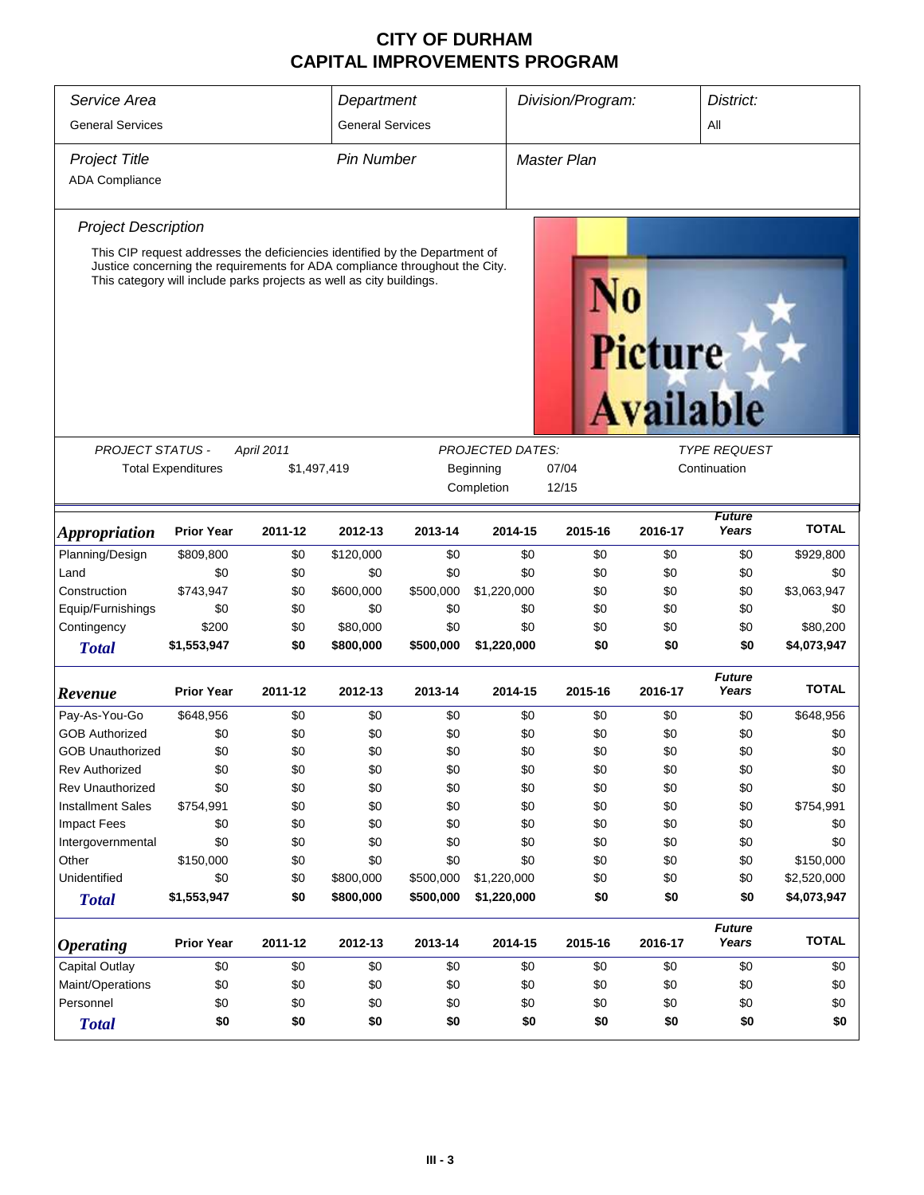| Service Area                |                                                                                                                                                                                                                                    |             |                         | Department |                         |                    | Division/Program: |                                    | District:              |              |
|-----------------------------|------------------------------------------------------------------------------------------------------------------------------------------------------------------------------------------------------------------------------------|-------------|-------------------------|------------|-------------------------|--------------------|-------------------|------------------------------------|------------------------|--------------|
| <b>General Services</b>     |                                                                                                                                                                                                                                    |             | <b>General Services</b> |            |                         |                    |                   |                                    | All                    |              |
|                             |                                                                                                                                                                                                                                    |             |                         |            |                         |                    |                   |                                    |                        |              |
| <b>Project Title</b>        |                                                                                                                                                                                                                                    |             | <b>Pin Number</b>       |            |                         | <b>Master Plan</b> |                   |                                    |                        |              |
| <b>ADA Compliance</b>       |                                                                                                                                                                                                                                    |             |                         |            |                         |                    |                   |                                    |                        |              |
| <b>Project Description</b>  |                                                                                                                                                                                                                                    |             |                         |            |                         |                    |                   |                                    |                        |              |
|                             | This CIP request addresses the deficiencies identified by the Department of<br>Justice concerning the requirements for ADA compliance throughout the City.<br>This category will include parks projects as well as city buildings. |             |                         |            |                         |                    |                   | <b>Picture</b><br><b>Available</b> |                        |              |
|                             |                                                                                                                                                                                                                                    |             |                         |            |                         |                    |                   |                                    |                        |              |
| <b>PROJECT STATUS -</b>     |                                                                                                                                                                                                                                    | April 2011  |                         |            | <b>PROJECTED DATES:</b> |                    |                   |                                    | <b>TYPE REQUEST</b>    |              |
|                             | <b>Total Expenditures</b>                                                                                                                                                                                                          | \$1,497,419 |                         |            | Beginning               | 07/04              |                   |                                    | Continuation           |              |
|                             |                                                                                                                                                                                                                                    |             |                         |            | Completion              | 12/15              |                   |                                    |                        |              |
| <i><b>Appropriation</b></i> | <b>Prior Year</b>                                                                                                                                                                                                                  | 2011-12     | 2012-13                 | 2013-14    | 2014-15                 |                    | 2015-16           | 2016-17                            | <b>Future</b><br>Years | <b>TOTAL</b> |
| Planning/Design             | \$809,800                                                                                                                                                                                                                          | \$0         | \$120,000               | \$0        |                         | \$0                | \$0               | \$0                                | \$0                    | \$929,800    |
| Land                        | \$0                                                                                                                                                                                                                                | \$0         | \$0                     | \$0        |                         | \$0                | \$0               | \$0                                | \$0                    | \$0          |
| Construction                | \$743,947                                                                                                                                                                                                                          | \$0         | \$600,000               | \$500,000  | \$1,220,000             |                    | \$0               | \$0                                | \$0                    | \$3,063,947  |
| Equip/Furnishings           | \$0                                                                                                                                                                                                                                | \$0         | \$0                     | \$0        |                         | \$0                | \$0               | \$0                                | \$0                    | \$0          |
| Contingency                 | \$200                                                                                                                                                                                                                              | \$0         | \$80,000                | \$0        |                         | \$0                | \$0               | \$0                                | \$0                    | \$80,200     |
| <b>Total</b>                | \$1,553,947                                                                                                                                                                                                                        | \$0         | \$800,000               | \$500,000  | \$1,220,000             |                    | \$0               | \$0                                | \$0                    | \$4,073,947  |
| Revenue                     | <b>Prior Year</b>                                                                                                                                                                                                                  | 2011-12     | 2012-13                 | 2013-14    | 2014-15                 |                    | 2015-16           | 2016-17                            | <b>Future</b><br>Years | <b>TOTAL</b> |
| Pay-As-You-Go               | \$648,956                                                                                                                                                                                                                          | \$0         | \$0                     | \$0        |                         | \$0                | \$0               | \$0                                | \$0                    | \$648,956    |
| <b>GOB Authorized</b>       | \$0                                                                                                                                                                                                                                | \$0         | \$0                     | \$0        |                         | \$0                | \$0               | \$0                                | \$0                    | \$0          |
| <b>GOB Unauthorized</b>     | \$0                                                                                                                                                                                                                                | \$0         | \$0                     | \$0        |                         | \$0                | \$0               | \$0                                | \$0                    | \$0          |
| <b>Rev Authorized</b>       | \$0                                                                                                                                                                                                                                | \$0         | \$0                     | \$0        |                         | \$0                | \$0               | \$0                                | \$0                    | \$0          |
| <b>Rev Unauthorized</b>     | \$0                                                                                                                                                                                                                                | \$0         | \$0                     | \$0        |                         | \$0                | \$0               | \$0                                | \$0                    | \$0          |
| <b>Installment Sales</b>    | \$754,991                                                                                                                                                                                                                          | \$0         | \$0                     | \$0        |                         | \$0                | \$0               | \$0                                | \$0                    | \$754,991    |
| <b>Impact Fees</b>          | \$0                                                                                                                                                                                                                                | \$0         | \$0                     | \$0        |                         | \$0                | \$0               | \$0                                | \$0                    | \$0          |
| Intergovernmental           | \$0                                                                                                                                                                                                                                | \$0         | \$0                     | \$0        |                         | \$0                | \$0               | \$0                                | \$0                    | \$0          |
| Other                       | \$150,000                                                                                                                                                                                                                          | \$0         | \$0                     | \$0        |                         | \$0                | \$0               | \$0                                | \$0                    | \$150,000    |
| Unidentified                | \$0                                                                                                                                                                                                                                | \$0         | \$800,000               | \$500,000  | \$1,220,000             |                    | \$0               | \$0                                | \$0                    | \$2,520,000  |
| <b>Total</b>                | \$1,553,947                                                                                                                                                                                                                        | \$0         | \$800,000               | \$500,000  | \$1,220,000             |                    | \$0               | \$0                                | \$0                    | \$4,073,947  |
| <i><b>Operating</b></i>     | <b>Prior Year</b>                                                                                                                                                                                                                  | 2011-12     | 2012-13                 | 2013-14    | 2014-15                 |                    | 2015-16           | 2016-17                            | <b>Future</b><br>Years | <b>TOTAL</b> |
| <b>Capital Outlay</b>       | \$0                                                                                                                                                                                                                                | \$0         | \$0                     | \$0        |                         | \$0                | \$0               | \$0                                | \$0                    | \$0          |
| Maint/Operations            | \$0                                                                                                                                                                                                                                | \$0         | \$0                     | \$0        |                         | \$0                | \$0               | \$0                                | \$0                    | \$0          |
| Personnel                   | \$0                                                                                                                                                                                                                                | \$0         | \$0                     | \$0        |                         | \$0                | \$0               | \$0                                | \$0                    | \$0          |
| <b>Total</b>                | \$0                                                                                                                                                                                                                                | \$0         | \$0                     | \$0        |                         | \$0                | \$0               | \$0                                | \$0                    | \$0          |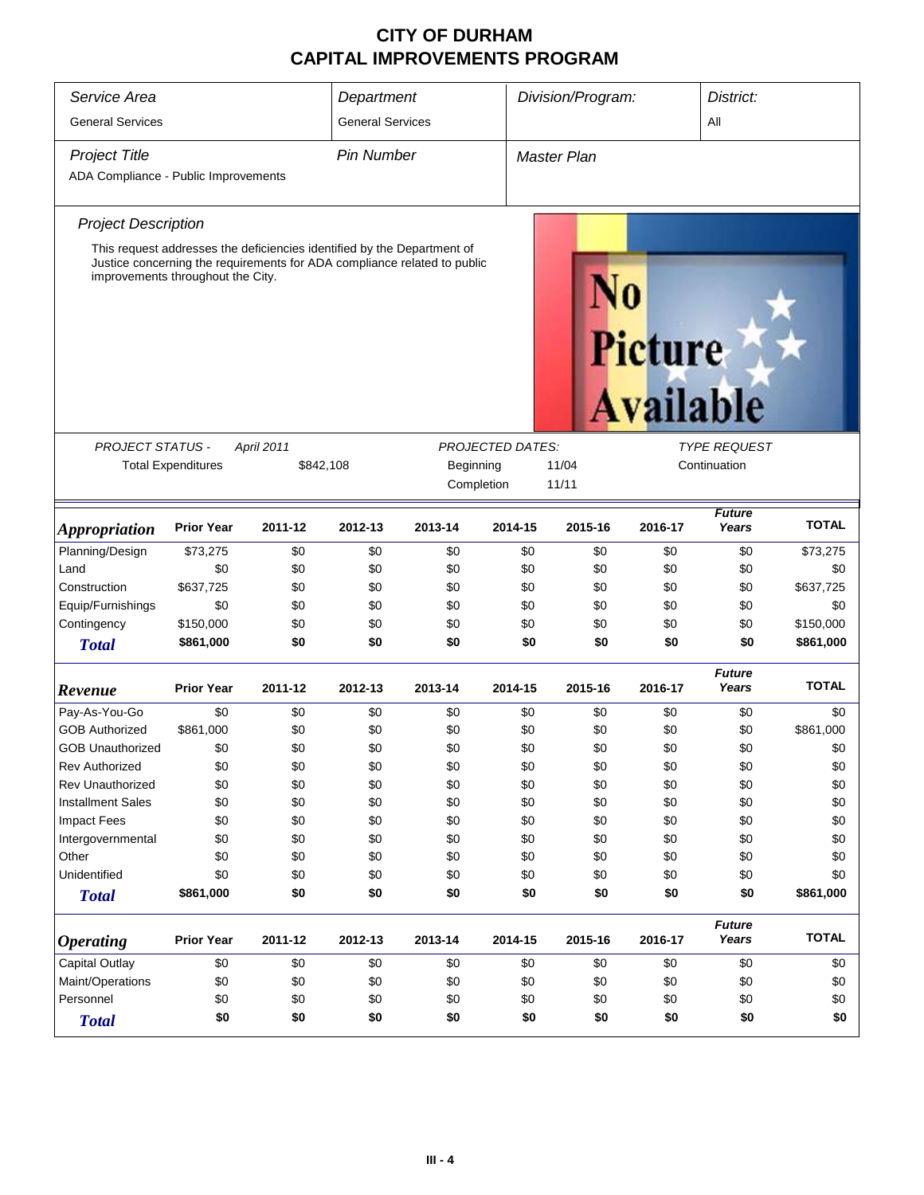| Service Area                         |                                                               |                                                                          | Department                                    |         |         | Division/Program:  |                | District:              |              |
|--------------------------------------|---------------------------------------------------------------|--------------------------------------------------------------------------|-----------------------------------------------|---------|---------|--------------------|----------------|------------------------|--------------|
| <b>General Services</b>              |                                                               |                                                                          | <b>General Services</b>                       |         |         |                    |                | All                    |              |
| <b>Project Title</b>                 |                                                               |                                                                          | <b>Pin Number</b>                             |         |         | <b>Master Plan</b> |                |                        |              |
| ADA Compliance - Public Improvements |                                                               |                                                                          |                                               |         |         |                    |                |                        |              |
| <b>Project Description</b>           |                                                               |                                                                          |                                               |         |         |                    |                |                        |              |
|                                      |                                                               | This request addresses the deficiencies identified by the Department of  |                                               |         |         |                    |                |                        |              |
|                                      | improvements throughout the City.                             | Justice concerning the requirements for ADA compliance related to public |                                               |         |         |                    | <b>Picture</b> | <b>Available</b>       |              |
| <b>PROJECT STATUS -</b>              |                                                               | April 2011                                                               |                                               |         |         |                    |                | <b>TYPE REQUEST</b>    |              |
|                                      |                                                               |                                                                          | <b>PROJECTED DATES:</b><br>Beginning<br>11/04 |         |         |                    |                | Continuation           |              |
|                                      | <b>Total Expenditures</b><br>\$842,108<br>Completion<br>11/11 |                                                                          |                                               |         |         |                    |                |                        |              |
|                                      |                                                               |                                                                          |                                               |         |         |                    |                |                        |              |
| <i><b>Appropriation</b></i>          | <b>Prior Year</b>                                             | 2011-12                                                                  | 2012-13                                       | 2013-14 | 2014-15 | 2015-16            | 2016-17        | <b>Future</b><br>Years | <b>TOTAL</b> |
| Planning/Design                      | \$73,275                                                      | \$0                                                                      | \$0                                           | \$0     | \$0     | \$0                | \$0            | \$0                    | \$73,275     |
| Land                                 | \$0                                                           | \$0                                                                      | \$0                                           | \$0     | \$0     | \$0                | \$0            | \$0                    | \$0          |
| Construction                         | \$637,725                                                     | \$0                                                                      | \$0                                           | \$0     | \$0     | \$0                | \$0            | \$0                    | \$637,725    |
| Equip/Furnishings                    | \$0                                                           | \$0                                                                      | \$0                                           | \$0     | \$0     | \$0                | \$0            | \$0                    | \$0          |
| Contingency                          | \$150,000                                                     | \$0                                                                      | \$0                                           | \$0     | \$0     | \$0                | \$0            | \$0                    | \$150,000    |
| <b>Total</b>                         | \$861,000                                                     | \$0                                                                      | \$0                                           | \$0     | \$0     | \$0                | \$0            | \$0                    | \$861,000    |
| Revenue                              | <b>Prior Year</b>                                             | 2011-12                                                                  | 2012-13                                       | 2013-14 | 2014-15 | 2015-16            | 2016-17        | <b>Future</b><br>Years | <b>TOTAL</b> |
| Pay-As-You-Go                        | \$0                                                           | \$0                                                                      | \$0                                           | \$0     | \$0     | \$0                | \$0            | \$0                    | \$0          |
| <b>GOB Authorized</b>                | \$861,000                                                     | \$0                                                                      | \$0                                           | \$0     | \$0     | \$0                | \$0            | \$0                    | \$861,000    |
| <b>GOB Unauthorized</b>              | \$0                                                           | \$0                                                                      | \$0                                           | \$0     | \$0     | \$0                | \$0            | \$0                    | \$0          |
| <b>Rev Authorized</b>                | \$0                                                           | \$0                                                                      | \$0                                           | \$0     | \$0     | \$0                | \$0            | \$0                    | \$0          |
| <b>Rev Unauthorized</b>              | \$0                                                           | \$0                                                                      | \$0                                           | \$0     | \$0     | \$0                | \$0            | \$0                    | \$0          |
| <b>Installment Sales</b>             | \$0                                                           | \$0                                                                      | \$0                                           | \$0     | \$0     | \$0                | \$0            | \$0                    | \$0          |
| <b>Impact Fees</b>                   | \$0                                                           | \$0                                                                      | \$0                                           | \$0     | \$0     | \$0                | \$0            | \$0                    | \$0          |
| Intergovernmental                    | \$0                                                           | \$0                                                                      | \$0                                           | \$0     | \$0     | \$0                | \$0            | \$0                    | \$0          |
| Other                                | \$0                                                           | \$0                                                                      | \$0                                           | \$0     | \$0     | \$0                | \$0            | \$0                    | \$0          |
| Unidentified                         | \$0                                                           | \$0                                                                      | \$0                                           | \$0     | \$0     | \$0                | \$0            | \$0                    | \$0          |
| <b>Total</b>                         | \$861,000                                                     | \$0                                                                      | \$0                                           | \$0     | \$0     | \$0                | \$0            | \$0                    | \$861,000    |
| <i><b>Operating</b></i>              | <b>Prior Year</b>                                             | 2011-12                                                                  | 2012-13                                       | 2013-14 | 2014-15 | 2015-16            | 2016-17        | <b>Future</b><br>Years | <b>TOTAL</b> |
| <b>Capital Outlay</b>                | \$0                                                           | \$0                                                                      | \$0                                           | \$0     | \$0     | \$0                | \$0            | \$0                    | \$0          |
| Maint/Operations                     | \$0                                                           | \$0                                                                      | \$0                                           | \$0     | \$0     | \$0                | \$0            | \$0                    | \$0          |
| Personnel                            | \$0                                                           | \$0                                                                      | \$0                                           | \$0     | \$0     | \$0                | \$0            | \$0                    | \$0          |
| <b>Total</b>                         | \$0                                                           | \$0                                                                      | \$0                                           | \$0     | \$0     | \$0                | \$0            | \$0                    | \$0          |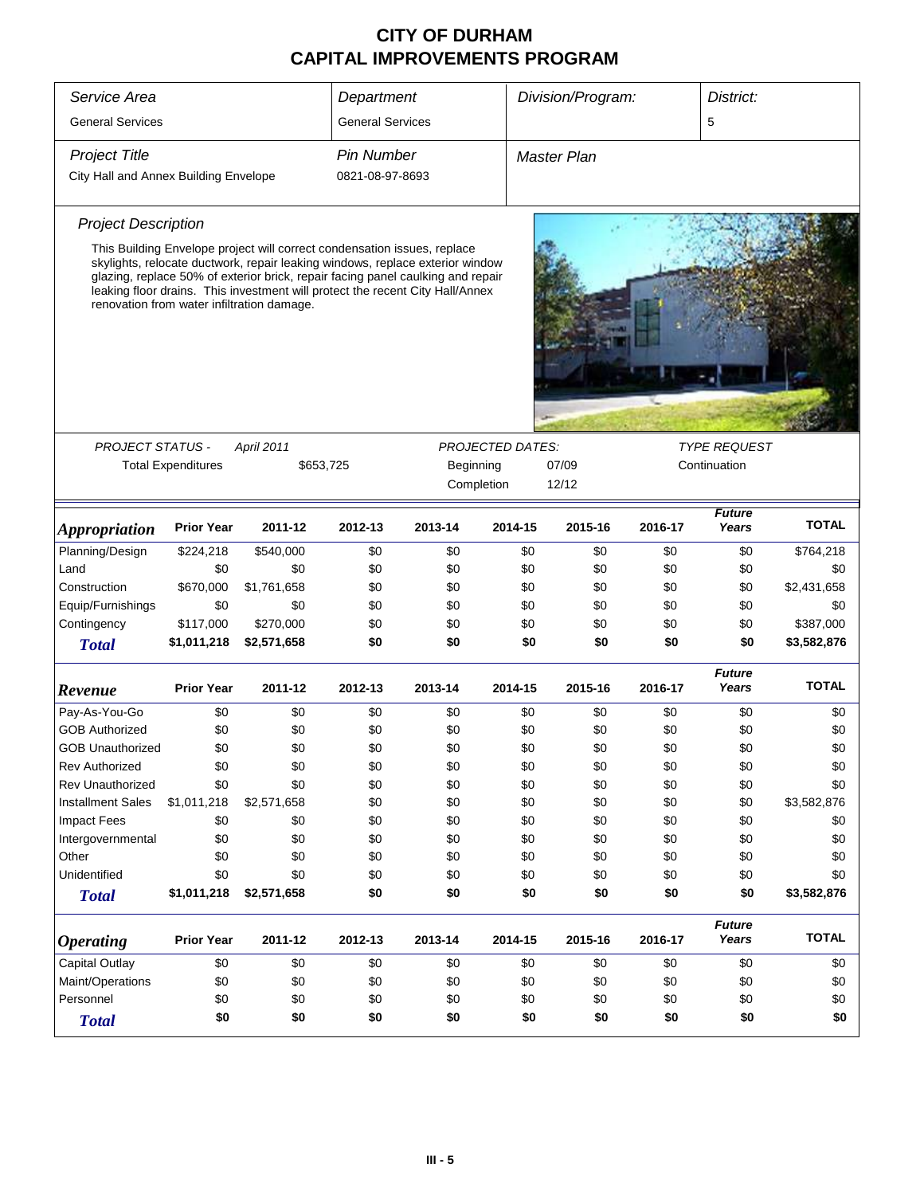| Service Area                          |                                                     |                                                                                                                                                                                                                                                                                                 | Department              |         |                         | Division/Program:  |         | District:              |              |  |
|---------------------------------------|-----------------------------------------------------|-------------------------------------------------------------------------------------------------------------------------------------------------------------------------------------------------------------------------------------------------------------------------------------------------|-------------------------|---------|-------------------------|--------------------|---------|------------------------|--------------|--|
| <b>General Services</b>               |                                                     |                                                                                                                                                                                                                                                                                                 | <b>General Services</b> |         |                         |                    |         | 5                      |              |  |
| <b>Project Title</b>                  |                                                     |                                                                                                                                                                                                                                                                                                 | <b>Pin Number</b>       |         |                         | <b>Master Plan</b> |         |                        |              |  |
| City Hall and Annex Building Envelope |                                                     |                                                                                                                                                                                                                                                                                                 | 0821-08-97-8693         |         |                         |                    |         |                        |              |  |
| <b>Project Description</b>            |                                                     |                                                                                                                                                                                                                                                                                                 |                         |         |                         |                    |         |                        |              |  |
|                                       |                                                     | This Building Envelope project will correct condensation issues, replace                                                                                                                                                                                                                        |                         |         |                         |                    |         |                        |              |  |
|                                       |                                                     | skylights, relocate ductwork, repair leaking windows, replace exterior window<br>glazing, replace 50% of exterior brick, repair facing panel caulking and repair<br>leaking floor drains. This investment will protect the recent City Hall/Annex<br>renovation from water infiltration damage. |                         |         |                         |                    |         |                        |              |  |
|                                       |                                                     |                                                                                                                                                                                                                                                                                                 |                         |         |                         |                    |         |                        |              |  |
| <b>PROJECT STATUS -</b>               |                                                     | April 2011                                                                                                                                                                                                                                                                                      |                         |         | <b>PROJECTED DATES:</b> |                    |         | <b>TYPE REQUEST</b>    |              |  |
|                                       | <b>Total Expenditures</b><br>\$653,725<br>Beginning |                                                                                                                                                                                                                                                                                                 |                         |         |                         | 07/09              |         | Continuation           |              |  |
|                                       |                                                     |                                                                                                                                                                                                                                                                                                 |                         |         | Completion              | 12/12              |         |                        |              |  |
|                                       |                                                     |                                                                                                                                                                                                                                                                                                 |                         |         |                         |                    |         |                        |              |  |
| <i><b>Appropriation</b></i>           | <b>Prior Year</b>                                   | 2011-12                                                                                                                                                                                                                                                                                         | 2012-13                 | 2013-14 | 2014-15                 | 2015-16            | 2016-17 | <b>Future</b><br>Years | <b>TOTAL</b> |  |
| Planning/Design                       | \$224,218                                           | \$540,000                                                                                                                                                                                                                                                                                       | \$0                     | \$0     | \$0                     | \$0                | \$0     | \$0                    | \$764,218    |  |
| Land                                  | \$0                                                 | \$0                                                                                                                                                                                                                                                                                             | \$0                     | \$0     | \$0                     | \$0                | \$0     | \$0                    | \$0          |  |
| Construction                          | \$670,000                                           | \$1,761,658                                                                                                                                                                                                                                                                                     | \$0                     | \$0     | \$0                     | \$0                | \$0     | \$0                    | \$2,431,658  |  |
| Equip/Furnishings                     | \$0                                                 | \$0                                                                                                                                                                                                                                                                                             | \$0                     | \$0     | \$0                     | \$0                | \$0     | \$0                    | \$0          |  |
| Contingency                           | \$117,000                                           | \$270,000                                                                                                                                                                                                                                                                                       | \$0                     | \$0     | \$0                     | \$0                | \$0     | \$0                    | \$387,000    |  |
| <b>Total</b>                          | \$1,011,218                                         | \$2,571,658                                                                                                                                                                                                                                                                                     | \$0                     | \$0     | \$0                     | \$0                | \$0     | \$0                    | \$3,582,876  |  |
| Revenue                               | <b>Prior Year</b>                                   | 2011-12                                                                                                                                                                                                                                                                                         | 2012-13                 | 2013-14 | 2014-15                 | 2015-16            | 2016-17 | <b>Future</b><br>Years | <b>TOTAL</b> |  |
| Pay-As-You-Go                         | \$0                                                 | \$0                                                                                                                                                                                                                                                                                             | \$0                     | \$0     | \$0                     | \$0                | \$0     | \$0                    | \$0          |  |
| <b>GOB Authorized</b>                 | \$0                                                 | \$0                                                                                                                                                                                                                                                                                             | \$0                     | \$0     | \$0                     | \$0                | \$0     | \$0                    | \$0          |  |
| <b>GOB Unauthorized</b>               | \$0                                                 | \$0                                                                                                                                                                                                                                                                                             | \$0                     | \$0     | \$0                     | \$0                | \$0     | \$0                    | \$0          |  |
| <b>Rev Authorized</b>                 | \$0                                                 | \$0                                                                                                                                                                                                                                                                                             | \$0                     | \$0     | \$0                     | \$0                | \$0     | \$0                    | \$0          |  |
| <b>Rev Unauthorized</b>               | \$0                                                 | \$0                                                                                                                                                                                                                                                                                             | \$0                     | \$0     | \$0                     | \$0                | \$0     | \$0                    | \$0          |  |
| <b>Installment Sales</b>              | \$1,011,218                                         | \$2,571,658                                                                                                                                                                                                                                                                                     | \$0                     | \$0     | \$0                     | \$0                | \$0     | \$0                    | \$3,582,876  |  |
| <b>Impact Fees</b>                    | \$0                                                 | \$0                                                                                                                                                                                                                                                                                             | \$0                     | \$0     | \$0                     | \$0                | \$0     | \$0                    | \$0          |  |
| Intergovernmental                     | \$0                                                 | \$0                                                                                                                                                                                                                                                                                             | \$0                     | \$0     | \$0                     | \$0                | \$0     | \$0                    | \$0          |  |
| Other                                 | \$0                                                 | \$0                                                                                                                                                                                                                                                                                             | \$0                     | \$0     | \$0                     | \$0                | \$0     | \$0                    | \$0          |  |
| Unidentified                          | \$0                                                 | \$0                                                                                                                                                                                                                                                                                             | \$0                     | \$0     | \$0                     | \$0                | \$0     | \$0                    | \$0          |  |
| <b>Total</b>                          | \$1,011,218                                         | \$2,571,658                                                                                                                                                                                                                                                                                     | \$0                     | \$0     | \$0                     | \$0                | \$0     | \$0                    | \$3,582,876  |  |
| <b>Operating</b>                      | <b>Prior Year</b>                                   | 2011-12                                                                                                                                                                                                                                                                                         | 2012-13                 | 2013-14 | 2014-15                 | 2015-16            | 2016-17 | <b>Future</b><br>Years | <b>TOTAL</b> |  |
| Capital Outlay                        | \$0                                                 | \$0                                                                                                                                                                                                                                                                                             | \$0                     | \$0     | \$0                     | \$0                | \$0     | \$0                    | \$0          |  |
| Maint/Operations                      | \$0                                                 | \$0                                                                                                                                                                                                                                                                                             | \$0                     | \$0     | \$0                     | \$0                | \$0     | \$0                    | \$0          |  |
| Personnel                             | \$0                                                 | \$0                                                                                                                                                                                                                                                                                             | \$0                     | \$0     | \$0                     | \$0                | \$0     | \$0                    | \$0          |  |
| <b>Total</b>                          | \$0                                                 | \$0                                                                                                                                                                                                                                                                                             | \$0                     | \$0     | \$0                     | \$0                | \$0     | \$0                    | \$0          |  |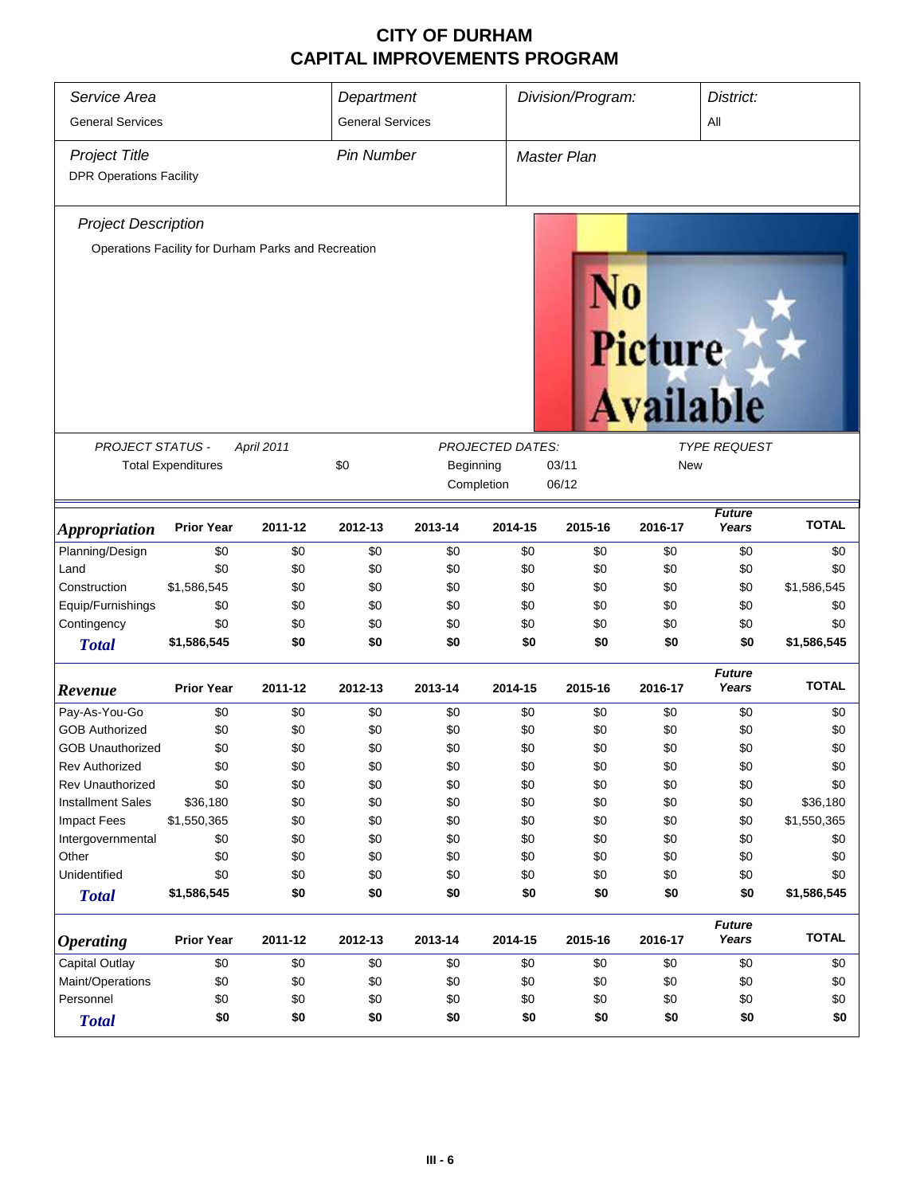| Service Area<br><b>General Services</b>                | Department<br><b>General Services</b>               |                                         |                   | Division/Program: |                         | District:<br>All   |         |                        |              |
|--------------------------------------------------------|-----------------------------------------------------|-----------------------------------------|-------------------|-------------------|-------------------------|--------------------|---------|------------------------|--------------|
|                                                        |                                                     |                                         |                   |                   |                         |                    |         |                        |              |
| <b>Project Title</b><br><b>DPR Operations Facility</b> |                                                     |                                         | <b>Pin Number</b> |                   |                         | <b>Master Plan</b> |         |                        |              |
|                                                        |                                                     |                                         |                   |                   |                         |                    |         |                        |              |
| <b>Project Description</b>                             |                                                     |                                         |                   |                   |                         |                    |         |                        |              |
|                                                        | Operations Facility for Durham Parks and Recreation |                                         |                   |                   |                         |                    |         |                        |              |
|                                                        |                                                     |                                         |                   |                   |                         |                    | Picture | <b>Available</b>       |              |
| PROJECT STATUS -                                       |                                                     | April 2011                              |                   |                   | <b>PROJECTED DATES:</b> |                    |         | <b>TYPE REQUEST</b>    |              |
|                                                        | <b>Total Expenditures</b>                           | \$0<br>Beginning<br>03/11<br><b>New</b> |                   |                   |                         |                    |         |                        |              |
|                                                        |                                                     |                                         |                   |                   | Completion              | 06/12              |         |                        |              |
| <i><b>Appropriation</b></i>                            | <b>Prior Year</b>                                   | 2011-12                                 | 2012-13           | 2013-14           | 2014-15                 | 2015-16            | 2016-17 | <b>Future</b><br>Years | <b>TOTAL</b> |
| Planning/Design                                        | \$0                                                 | \$0                                     | \$0               | \$0               | \$0                     | \$0                | \$0     | \$0                    | \$0          |
| Land                                                   | \$0                                                 | \$0                                     | \$0               | \$0               | \$0                     | \$0                | \$0     | \$0                    | \$0          |
| Construction                                           | \$1,586,545                                         | \$0                                     | \$0               | \$0               | \$0                     | \$0                | \$0     | \$0                    | \$1,586,545  |
| Equip/Furnishings                                      | \$0                                                 | \$0                                     | \$0               | \$0               | \$0                     | \$0                | \$0     | \$0                    | \$0          |
| Contingency                                            | \$0                                                 | \$0                                     | \$0               | \$0               | \$0                     | \$0                | \$0     | \$0                    | \$0          |
| <b>Total</b>                                           | \$1,586,545                                         | \$0                                     | \$0               | \$0               | \$0                     | \$0                | \$0     | \$0                    | \$1,586,545  |
| Revenue                                                | <b>Prior Year</b>                                   | 2011-12                                 | 2012-13           | 2013-14           | 2014-15                 | 2015-16            | 2016-17 | <b>Future</b><br>Years | <b>TOTAL</b> |
| Pay-As-You-Go                                          | \$0                                                 | \$0                                     | \$0               | \$0               | \$0                     | \$0                | \$0     | \$0                    | \$0          |
| <b>GOB Authorized</b>                                  | \$0                                                 | \$0                                     | \$0               | \$0               | \$0                     | \$0                | \$0     | \$0                    | \$0          |
| <b>GOB Unauthorized</b>                                | \$0                                                 | \$0                                     | \$0               | \$0               | \$0                     | \$0                | \$0     | \$0                    | \$0          |
| <b>Rev Authorized</b>                                  | \$0                                                 | \$0                                     | \$0               | \$0               | \$0                     | \$0                | \$0     | \$0                    | \$0          |
| <b>Rev Unauthorized</b>                                | \$0                                                 | \$0                                     | \$0               | \$0               | \$0                     | \$0                | \$0     | \$0                    | \$0          |
| <b>Installment Sales</b>                               | \$36,180                                            | \$0                                     | \$0               | \$0               | \$0                     | \$0                | \$0     | \$0                    | \$36,180     |
| <b>Impact Fees</b>                                     | \$1,550,365                                         | \$0                                     | \$0               | \$0               | \$0                     | \$0                | \$0     | \$0                    | \$1,550,365  |
| Intergovernmental                                      | \$0                                                 | \$0                                     | \$0               | \$0               | \$0                     | \$0                | \$0     | \$0                    | \$0          |
| Other                                                  | \$0                                                 | \$0                                     | \$0               | \$0               | \$0                     | \$0                | \$0     | \$0                    | \$0          |
| Unidentified                                           | \$0                                                 | \$0                                     | \$0               | \$0               | \$0                     | \$0                | \$0     | \$0                    | \$0          |
| <b>Total</b>                                           | \$1,586,545                                         | \$0                                     | \$0               | \$0               | \$0                     | \$0                | \$0     | \$0                    | \$1,586,545  |
| <b>Operating</b>                                       | <b>Prior Year</b>                                   | 2011-12                                 | 2012-13           | 2013-14           | 2014-15                 | 2015-16            | 2016-17 | <b>Future</b><br>Years | <b>TOTAL</b> |
| Capital Outlay                                         | \$0                                                 | \$0                                     | \$0               | \$0               | \$0                     | \$0                | \$0     | \$0                    | \$0          |
| Maint/Operations                                       | \$0                                                 | \$0                                     | \$0               | \$0               | \$0                     | \$0                | \$0     | \$0                    | \$0          |
| Personnel                                              | \$0                                                 | \$0                                     | \$0               | \$0               | \$0                     | \$0                | \$0     | \$0                    | \$0          |
| <b>Total</b>                                           | \$0                                                 | \$0                                     | \$0               | \$0               | \$0                     | \$0                | \$0     | \$0                    | \$0          |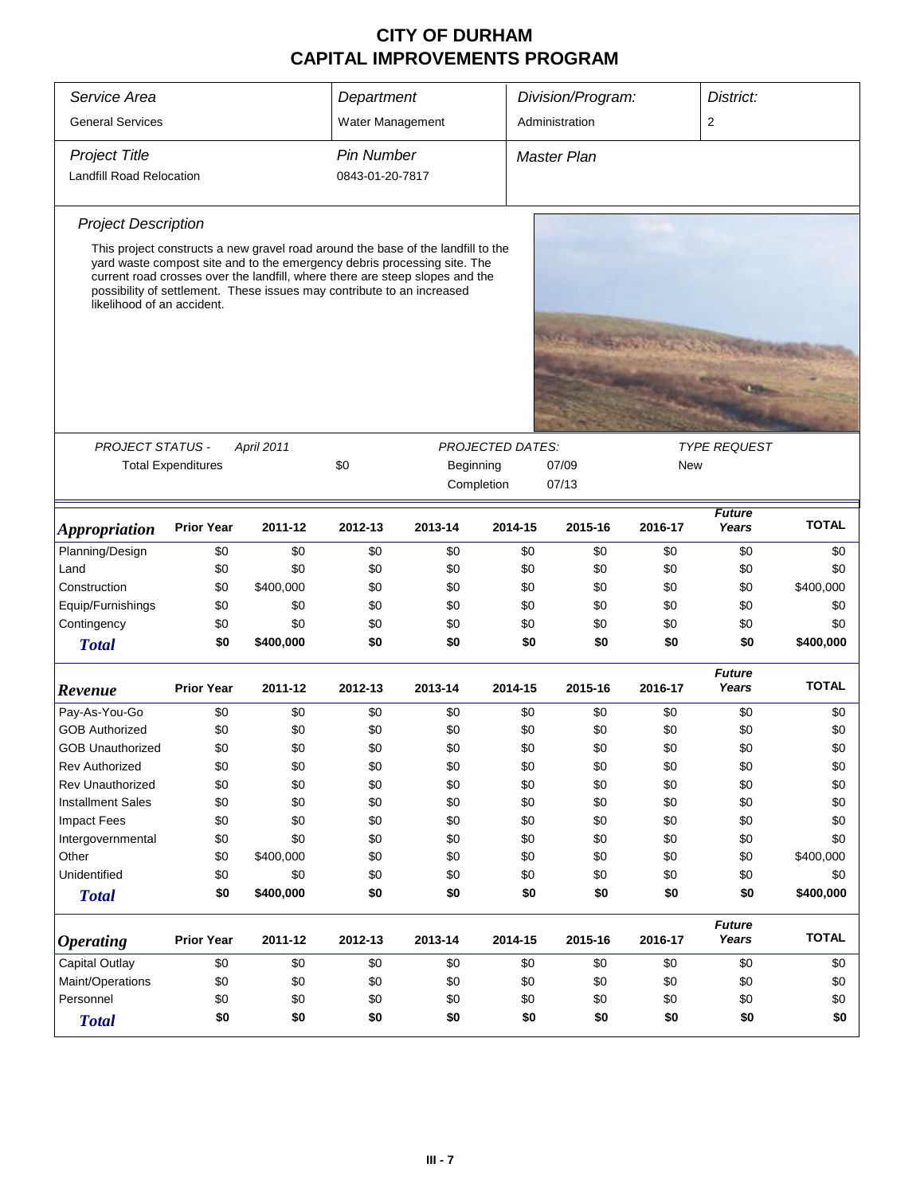| Service Area                    |                           |                                                                                                                                                                                                                                                                                                                        | Department        |           |                         | Division/Program:  |         | District:              |              |
|---------------------------------|---------------------------|------------------------------------------------------------------------------------------------------------------------------------------------------------------------------------------------------------------------------------------------------------------------------------------------------------------------|-------------------|-----------|-------------------------|--------------------|---------|------------------------|--------------|
|                                 |                           |                                                                                                                                                                                                                                                                                                                        |                   |           |                         |                    |         |                        |              |
| <b>General Services</b>         |                           |                                                                                                                                                                                                                                                                                                                        | Water Management  |           |                         | Administration     |         | $\overline{2}$         |              |
| <b>Project Title</b>            |                           |                                                                                                                                                                                                                                                                                                                        | <b>Pin Number</b> |           |                         | <b>Master Plan</b> |         |                        |              |
| <b>Landfill Road Relocation</b> |                           |                                                                                                                                                                                                                                                                                                                        | 0843-01-20-7817   |           |                         |                    |         |                        |              |
| <b>Project Description</b>      |                           |                                                                                                                                                                                                                                                                                                                        |                   |           |                         |                    |         |                        |              |
| likelihood of an accident.      |                           | This project constructs a new gravel road around the base of the landfill to the<br>yard waste compost site and to the emergency debris processing site. The<br>current road crosses over the landfill, where there are steep slopes and the<br>possibility of settlement. These issues may contribute to an increased |                   |           |                         |                    |         |                        |              |
|                                 |                           |                                                                                                                                                                                                                                                                                                                        |                   |           |                         |                    |         |                        |              |
| <b>PROJECT STATUS -</b>         |                           | <b>April 2011</b>                                                                                                                                                                                                                                                                                                      |                   |           | <b>PROJECTED DATES:</b> |                    |         | <b>TYPE REQUEST</b>    |              |
|                                 | <b>Total Expenditures</b> |                                                                                                                                                                                                                                                                                                                        | \$0               | Beginning |                         | 07/09<br>New       |         |                        |              |
|                                 |                           |                                                                                                                                                                                                                                                                                                                        |                   |           | Completion              | 07/13              |         |                        |              |
| <b>Appropriation</b>            | <b>Prior Year</b>         | 2011-12                                                                                                                                                                                                                                                                                                                | 2012-13           | 2013-14   | 2014-15                 | 2015-16            | 2016-17 | <b>TOTAL</b>           |              |
| Planning/Design                 | \$0                       | \$0                                                                                                                                                                                                                                                                                                                    | \$0               | \$0       | \$0                     | \$0                | \$0     | \$0                    | \$0          |
| Land                            | \$0                       | \$0                                                                                                                                                                                                                                                                                                                    | \$0               | \$0       | \$0                     | \$0                | \$0     | \$0                    | \$0          |
| Construction                    | \$0                       | \$400,000                                                                                                                                                                                                                                                                                                              | \$0               | \$0       | \$0                     | \$0                | \$0     | \$0                    | \$400,000    |
| Equip/Furnishings               | \$0                       | \$0                                                                                                                                                                                                                                                                                                                    | \$0               | \$0       | \$0                     | \$0                | \$0     | \$0                    | \$0          |
| Contingency                     | \$0                       | \$0                                                                                                                                                                                                                                                                                                                    | \$0               | \$0       | \$0                     | \$0                | \$0     | \$0                    | \$0          |
| <b>Total</b>                    | \$0                       | \$400,000                                                                                                                                                                                                                                                                                                              | \$0               | \$0       | \$0                     | \$0                | \$0     | \$0                    | \$400,000    |
| Revenue                         | <b>Prior Year</b>         | 2011-12                                                                                                                                                                                                                                                                                                                | 2012-13           | 2013-14   | 2014-15                 | 2015-16            | 2016-17 | <b>Future</b><br>Years | <b>TOTAL</b> |
| Pay-As-You-Go                   | \$0                       | \$0                                                                                                                                                                                                                                                                                                                    | \$0               | \$0       | \$0                     | \$0                | \$0     | \$0                    | \$0          |
| <b>GOB Authorized</b>           | \$0                       | \$0                                                                                                                                                                                                                                                                                                                    | \$0               | \$0       | \$0                     | \$0                | \$0     | \$0                    | \$0          |
| <b>GOB Unauthorized</b>         | \$0                       | \$0                                                                                                                                                                                                                                                                                                                    | \$0               | \$0       | \$0                     | \$0                | \$0     | \$0                    | \$0          |
| <b>Rev Authorized</b>           | \$0                       | \$0                                                                                                                                                                                                                                                                                                                    | \$0               | \$0       | \$0                     | \$0                | \$0     | \$0                    | \$0          |
| <b>Rev Unauthorized</b>         | \$0                       | \$0                                                                                                                                                                                                                                                                                                                    | \$0               | \$0       | \$0                     | \$0                | \$0     | \$0                    | \$0          |
| <b>Installment Sales</b>        | \$0                       | \$0                                                                                                                                                                                                                                                                                                                    | \$0               | \$0       | \$0                     | \$0                | \$0     | \$0                    | \$0          |
| <b>Impact Fees</b>              | \$0                       | \$0                                                                                                                                                                                                                                                                                                                    | \$0               | \$0       | \$0                     | \$0                | \$0     | \$0                    | \$0          |
| Intergovernmental               | \$0                       | \$0                                                                                                                                                                                                                                                                                                                    | \$0               | \$0       | \$0                     | \$0                | \$0     | \$0                    | \$0          |
| Other                           | \$0                       | \$400,000                                                                                                                                                                                                                                                                                                              | \$0               | \$0       | \$0                     | \$0                | \$0     | \$0                    | \$400,000    |
| Unidentified                    | \$0                       | \$0                                                                                                                                                                                                                                                                                                                    | \$0               | \$0       | \$0                     | \$0                | \$0     | \$0                    | \$0          |
| <b>Total</b>                    | \$0                       | \$400,000                                                                                                                                                                                                                                                                                                              | \$0               | \$0       | \$0                     | \$0                | \$0     | \$0                    | \$400,000    |
| <b>Operating</b>                | <b>Prior Year</b>         | 2011-12                                                                                                                                                                                                                                                                                                                | 2012-13           | 2013-14   | 2014-15                 | 2015-16            | 2016-17 | <b>Future</b><br>Years | <b>TOTAL</b> |
| Capital Outlay                  | \$0                       | \$0                                                                                                                                                                                                                                                                                                                    | \$0               | \$0       | \$0                     | \$0                | \$0     | \$0                    | \$0          |
| Maint/Operations                | \$0                       | \$0                                                                                                                                                                                                                                                                                                                    | \$0               | \$0       | \$0                     | \$0                | \$0     | \$0                    | \$0          |
| Personnel                       | \$0                       | \$0                                                                                                                                                                                                                                                                                                                    | \$0               | \$0       | \$0                     | \$0                | \$0     | \$0                    | \$0          |
| <b>Total</b>                    | \$0                       | \$0                                                                                                                                                                                                                                                                                                                    | \$0               | \$0       | \$0                     | \$0                | \$0     | \$0                    | \$0          |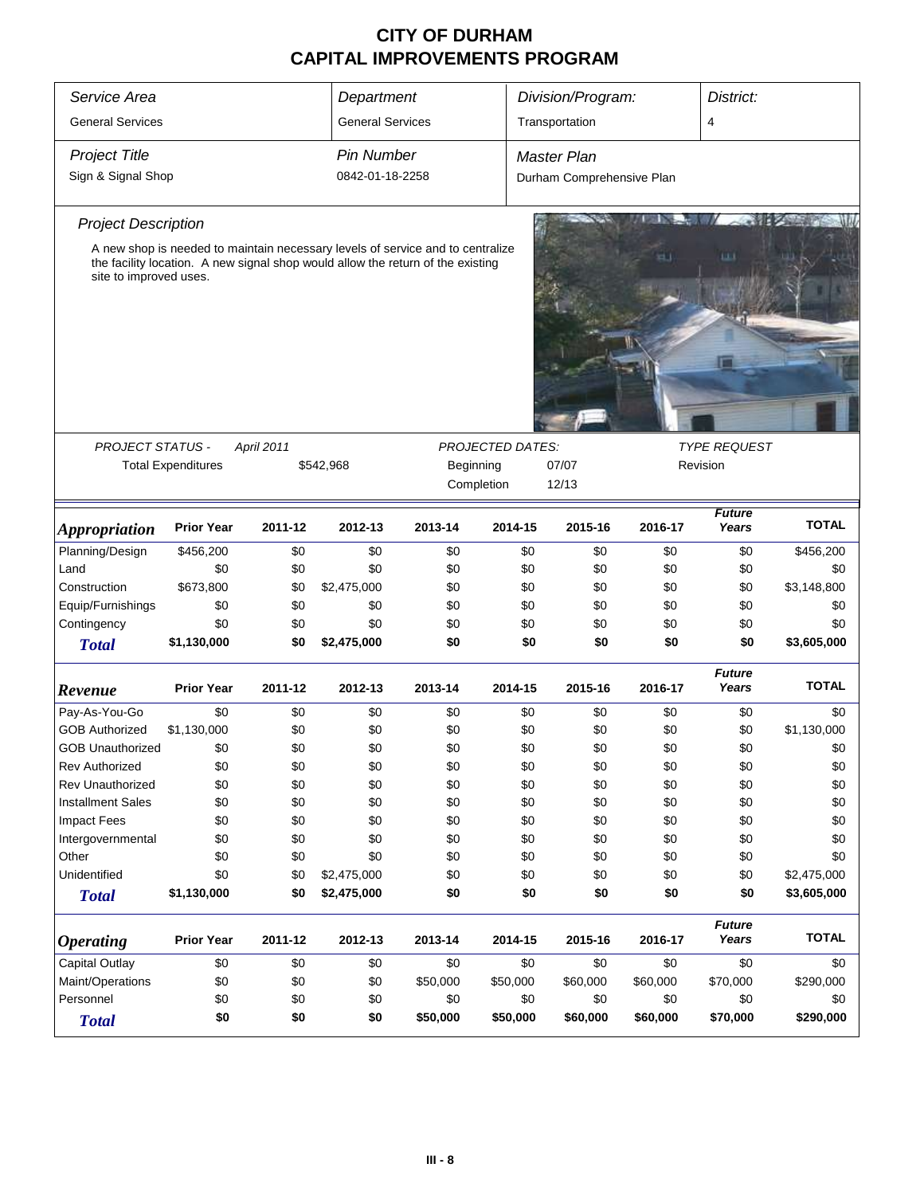| Service Area               |                                                                                 |                   | Department              |          |                         | Division/Program:         |          | District:                       |              |
|----------------------------|---------------------------------------------------------------------------------|-------------------|-------------------------|----------|-------------------------|---------------------------|----------|---------------------------------|--------------|
| <b>General Services</b>    |                                                                                 |                   | <b>General Services</b> |          |                         | Transportation            |          | 4                               |              |
|                            |                                                                                 |                   |                         |          |                         |                           |          |                                 |              |
| <b>Project Title</b>       |                                                                                 |                   | <b>Pin Number</b>       |          |                         | <b>Master Plan</b>        |          |                                 |              |
| Sign & Signal Shop         |                                                                                 |                   | 0842-01-18-2258         |          |                         | Durham Comprehensive Plan |          |                                 |              |
| <b>Project Description</b> |                                                                                 |                   |                         |          |                         |                           |          |                                 |              |
|                            | A new shop is needed to maintain necessary levels of service and to centralize  |                   |                         |          |                         |                           |          | ш                               |              |
| site to improved uses.     | the facility location. A new signal shop would allow the return of the existing |                   |                         |          |                         |                           |          |                                 |              |
|                            |                                                                                 |                   |                         |          |                         |                           |          |                                 |              |
|                            |                                                                                 |                   |                         |          |                         |                           |          |                                 |              |
|                            |                                                                                 |                   |                         |          |                         |                           |          |                                 |              |
|                            |                                                                                 |                   |                         |          |                         |                           |          |                                 |              |
|                            |                                                                                 |                   |                         |          |                         |                           |          |                                 |              |
|                            |                                                                                 |                   |                         |          |                         |                           |          |                                 |              |
|                            |                                                                                 |                   |                         |          |                         |                           |          |                                 |              |
|                            |                                                                                 |                   |                         |          |                         |                           |          |                                 |              |
| <b>PROJECT STATUS -</b>    | <b>Total Expenditures</b>                                                       | <b>April 2011</b> | \$542,968               |          | <b>PROJECTED DATES:</b> | 07/07                     |          | <b>TYPE REQUEST</b><br>Revision |              |
|                            |                                                                                 |                   |                         |          | Beginning<br>Completion | 12/13                     |          |                                 |              |
|                            |                                                                                 |                   |                         |          |                         |                           |          |                                 |              |
| <b>Appropriation</b>       | <b>Prior Year</b>                                                               | 2011-12           | 2012-13                 | 2013-14  | 2014-15                 | 2015-16                   | 2016-17  | <b>Future</b><br>Years          | <b>TOTAL</b> |
| Planning/Design            | \$456,200                                                                       | \$0               | \$0                     | \$0      | \$0                     | \$0                       | \$0      | \$0                             | \$456,200    |
| Land                       | \$0                                                                             | \$0               | \$0                     | \$0      | \$0                     | \$0                       | \$0      | \$0                             | \$0          |
| Construction               | \$673,800                                                                       | \$0               | \$2,475,000             | \$0      | \$0                     | \$0                       | \$0      | \$0                             | \$3,148,800  |
| Equip/Furnishings          | \$0                                                                             | \$0               | \$0                     | \$0      | \$0                     | \$0                       | \$0      | \$0                             | \$0          |
| Contingency                | \$0                                                                             | \$0               | \$0                     | \$0      | \$0                     | \$0                       | \$0      | \$0                             | \$0          |
| <b>Total</b>               | \$1,130,000                                                                     | \$0               | \$2,475,000             | \$0      | \$0                     | \$0                       | \$0      | \$0                             | \$3,605,000  |
|                            |                                                                                 |                   |                         |          |                         |                           |          | <b>Future</b>                   |              |
| Revenue                    | <b>Prior Year</b>                                                               | 2011-12           | 2012-13                 | 2013-14  | 2014-15                 | 2015-16                   | 2016-17  | Years                           | <b>TOTAL</b> |
| Pay-As-You-Go              | \$0                                                                             | \$0               | \$0                     | \$0      | \$0                     | \$0                       | \$0      | \$0                             | \$0          |
| <b>GOB Authorized</b>      | \$1,130,000                                                                     | \$0               | \$0                     | \$0      | \$0                     | \$0                       | \$0      | \$0                             | \$1,130,000  |
| <b>GOB Unauthorized</b>    | \$0                                                                             | \$0               | \$0                     | \$0      | \$0                     | \$0                       | \$0      | \$0                             | \$0          |
| <b>Rev Authorized</b>      | \$0                                                                             | \$0               | \$0                     | \$0      | \$0                     | \$0                       | \$0      | \$0                             | \$0          |
| Rev Unauthorized           | \$0                                                                             | \$0               | \$0                     | \$0      | \$0                     | \$0                       | \$0      | \$0                             | \$0          |
| <b>Installment Sales</b>   | \$0                                                                             | \$0               | \$0                     | \$0      | \$0                     | \$0                       | \$0      | \$0                             | \$0          |
| <b>Impact Fees</b>         | \$0                                                                             | \$0               | \$0                     | \$0      | \$0                     | \$0                       | \$0      | \$0                             | \$0          |
| Intergovernmental          | \$0                                                                             | \$0               | \$0                     | \$0      | \$0                     | \$0                       | \$0      | \$0                             | \$0          |
| Other                      | \$0                                                                             | \$0               | \$0                     | \$0      | \$0                     | \$0                       | \$0      | \$0                             | \$0          |
| Unidentified               | \$0                                                                             | \$0               | \$2,475,000             | \$0      | \$0                     | \$0                       | \$0      | \$0                             | \$2,475,000  |
| <b>Total</b>               | \$1,130,000                                                                     | \$0               | \$2,475,000             | \$0      | \$0                     | \$0                       | \$0      | \$0                             | \$3,605,000  |
| <b>Operating</b>           | <b>Prior Year</b>                                                               | 2011-12           | 2012-13                 | 2013-14  | 2014-15                 | 2015-16                   | 2016-17  | <b>Future</b><br>Years          | <b>TOTAL</b> |
| <b>Capital Outlay</b>      | \$0                                                                             | \$0               | \$0                     | \$0      | \$0                     | \$0                       | \$0      | \$0                             | \$0          |
| Maint/Operations           | \$0                                                                             | \$0               | \$0                     | \$50,000 | \$50,000                | \$60,000                  | \$60,000 | \$70,000                        | \$290,000    |
| Personnel                  | \$0                                                                             | \$0               | \$0                     | \$0      | \$0                     | \$0                       | \$0      | \$0                             | \$0          |
| <b>Total</b>               | \$0                                                                             | \$0               | \$0                     | \$50,000 | \$50,000                | \$60,000                  | \$60,000 | \$70,000                        | \$290,000    |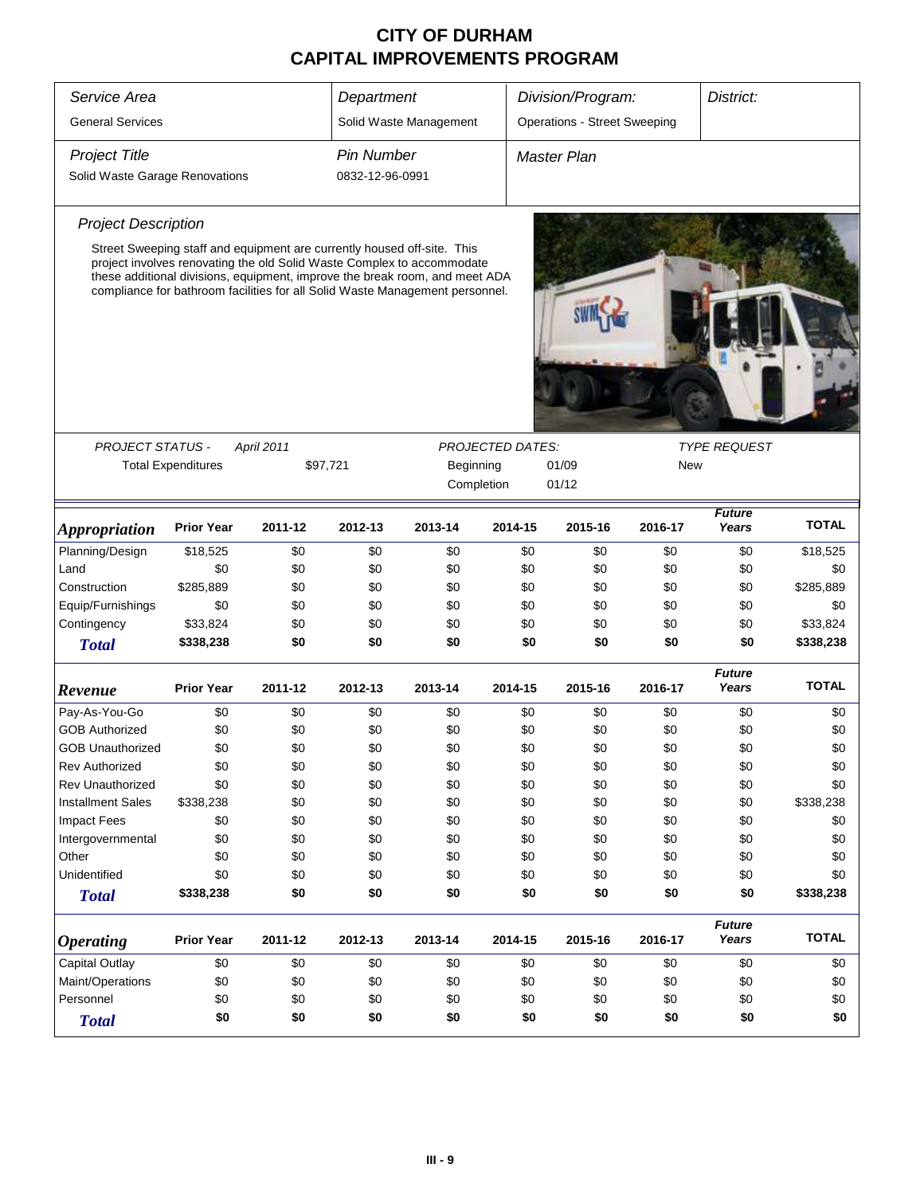| Service Area                   |                                                                                                                                                                                                                                       |            | Department        |                        |                         | Division/Program:                   |         | District:              |              |
|--------------------------------|---------------------------------------------------------------------------------------------------------------------------------------------------------------------------------------------------------------------------------------|------------|-------------------|------------------------|-------------------------|-------------------------------------|---------|------------------------|--------------|
| <b>General Services</b>        |                                                                                                                                                                                                                                       |            |                   | Solid Waste Management |                         | <b>Operations - Street Sweeping</b> |         |                        |              |
| <b>Project Title</b>           |                                                                                                                                                                                                                                       |            | <b>Pin Number</b> |                        |                         | Master Plan                         |         |                        |              |
| Solid Waste Garage Renovations |                                                                                                                                                                                                                                       |            | 0832-12-96-0991   |                        |                         |                                     |         |                        |              |
| <b>Project Description</b>     |                                                                                                                                                                                                                                       |            |                   |                        |                         |                                     |         |                        |              |
|                                | Street Sweeping staff and equipment are currently housed off-site. This                                                                                                                                                               |            |                   |                        |                         |                                     |         |                        |              |
|                                | project involves renovating the old Solid Waste Complex to accommodate<br>these additional divisions, equipment, improve the break room, and meet ADA<br>compliance for bathroom facilities for all Solid Waste Management personnel. |            |                   |                        |                         |                                     |         |                        |              |
|                                |                                                                                                                                                                                                                                       |            |                   |                        |                         |                                     |         |                        |              |
|                                |                                                                                                                                                                                                                                       |            |                   |                        |                         |                                     |         |                        |              |
|                                |                                                                                                                                                                                                                                       |            |                   |                        |                         |                                     |         |                        |              |
|                                |                                                                                                                                                                                                                                       |            |                   |                        |                         |                                     |         |                        |              |
| PROJECT STATUS -               |                                                                                                                                                                                                                                       | April 2011 |                   |                        | <b>PROJECTED DATES:</b> |                                     |         | <b>TYPE REQUEST</b>    |              |
|                                | <b>Total Expenditures</b><br>\$97,721                                                                                                                                                                                                 |            |                   | Beginning              |                         | 01/09<br>01/12                      | New     |                        |              |
|                                |                                                                                                                                                                                                                                       |            |                   |                        | Completion              |                                     |         |                        |              |
| <i><b>Appropriation</b></i>    | <b>Prior Year</b>                                                                                                                                                                                                                     | 2011-12    | 2012-13           | 2013-14                | 2014-15                 | 2015-16                             | 2016-17 | <b>Future</b><br>Years | <b>TOTAL</b> |
| Planning/Design                | \$18,525                                                                                                                                                                                                                              | \$0        | \$0               | \$0                    | \$0                     | \$0                                 | \$0     | \$0                    | \$18,525     |
| Land                           | \$0                                                                                                                                                                                                                                   | \$0        | \$0               | \$0                    | \$0                     | \$0                                 | \$0     | \$0                    | \$0          |
| Construction                   | \$285,889                                                                                                                                                                                                                             | \$0        | \$0               | \$0                    | \$0                     | \$0                                 | \$0     | \$0                    | \$285,889    |
| Equip/Furnishings              | \$0                                                                                                                                                                                                                                   | \$0        | \$0               | \$0                    | \$0                     | \$0                                 | \$0     | \$0                    | \$0          |
| Contingency                    | \$33,824                                                                                                                                                                                                                              | \$0        | \$0               | \$0                    | \$0                     | \$0                                 | \$0     | \$0                    | \$33,824     |
| <b>Total</b>                   | \$338,238                                                                                                                                                                                                                             | \$0        | \$0               | \$0                    | \$0                     | \$0                                 | \$0     | \$0                    | \$338,238    |
| Revenue                        | <b>Prior Year</b>                                                                                                                                                                                                                     | 2011-12    | 2012-13           | 2013-14                | 2014-15                 | 2015-16                             | 2016-17 | <b>Future</b><br>Years | <b>TOTAL</b> |
| Pay-As-You-Go                  | \$0                                                                                                                                                                                                                                   | \$0        | \$0               | \$0                    | \$0                     | \$0                                 | \$0     | \$0                    | \$0          |
| <b>GOB Authorized</b>          | \$0                                                                                                                                                                                                                                   | \$0        | \$0               | \$0                    | \$0                     | \$0                                 | \$0     | \$0                    | \$0          |
| <b>GOB Unauthorized</b>        | \$0                                                                                                                                                                                                                                   | \$0        | \$0               | \$0                    | \$0                     | \$0                                 | \$0     | \$0                    | \$0          |
| <b>Rev Authorized</b>          | \$0                                                                                                                                                                                                                                   | \$0        | \$0               | \$0                    | \$0                     | \$0                                 | \$0     | \$0                    | \$0          |
| Rev Unauthorized               | \$0                                                                                                                                                                                                                                   | \$0        | \$0               | \$0                    | \$0                     | \$0                                 | \$0     | \$0                    | \$0          |
| <b>Installment Sales</b>       | \$338,238                                                                                                                                                                                                                             | \$0        | \$0               | \$0                    | \$0                     | \$0                                 | \$0     | \$0                    | \$338,238    |
| <b>Impact Fees</b>             | \$0                                                                                                                                                                                                                                   | \$0        | \$0               | \$0                    | \$0                     | \$0                                 | \$0     | \$0                    | \$0          |
| Intergovernmental              | \$0                                                                                                                                                                                                                                   | \$0        | \$0               | \$0                    | \$0                     | \$0                                 | \$0     | \$0                    | \$0          |
| Other                          | \$0                                                                                                                                                                                                                                   | \$0        | \$0               | \$0                    | \$0                     | \$0                                 | \$0     | \$0                    | \$0          |
| Unidentified                   | \$0                                                                                                                                                                                                                                   | \$0        | \$0               | \$0                    | \$0                     | \$0                                 | \$0     | \$0                    | \$0          |
| <b>Total</b>                   | \$338,238                                                                                                                                                                                                                             | \$0        | \$0               | \$0                    | \$0                     | \$0                                 | \$0     | \$0                    | \$338,238    |
| <b>Operating</b>               | <b>Prior Year</b>                                                                                                                                                                                                                     | 2011-12    | 2012-13           | 2013-14                | 2014-15                 | 2015-16                             | 2016-17 | <b>Future</b><br>Years | <b>TOTAL</b> |
| Capital Outlay                 | \$0                                                                                                                                                                                                                                   | \$0        | \$0               | \$0                    | \$0                     | \$0                                 | \$0     | \$0                    | \$0          |
| Maint/Operations               | \$0                                                                                                                                                                                                                                   | \$0        | \$0               | \$0                    | \$0                     | \$0                                 | \$0     | \$0                    | \$0          |
| Personnel                      | \$0                                                                                                                                                                                                                                   | \$0        | \$0               | \$0                    | \$0                     | \$0                                 | \$0     | \$0                    | \$0          |
| <b>Total</b>                   | \$0                                                                                                                                                                                                                                   | \$0        | \$0               | \$0                    | \$0                     | \$0                                 | \$0     | \$0                    | \$0          |